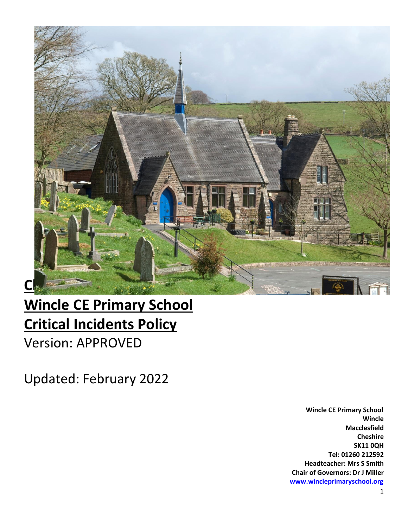

# **Wincle CE Primary School Critical Incidents Policy**

Version: APPROVED

Updated: February 2022

 **Wincle CE Primary School Wincle Macclesfield Cheshire SK11 0QH Tel: 01260 212592 Headteacher: Mrs S Smith Chair of Governors: Dr J Miller [www.wincleprimaryschool.org](http://www.wincleprimaryschool.org/)**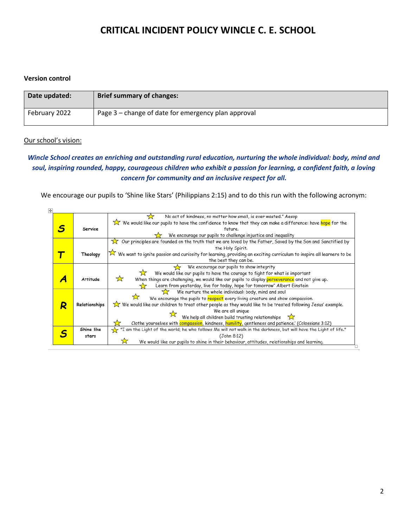#### **Version control**

| Date updated: | <b>Brief summary of changes:</b>                    |
|---------------|-----------------------------------------------------|
| February 2022 | Page 3 – change of date for emergency plan approval |

#### Our school's vision:

#### *Wincle School creates an enriching and outstanding rural education, nurturing the whole individual: body, mind and soul, inspiring rounded, happy, courageous children who exhibit a passion for learning, a confident faith, a loving concern for community and an inclusive respect for all.*

We encourage our pupils to 'Shine like Stars' (Philippians 2:15) and to do this run with the following acronym:

| $\overline{+}$ |   |                                                                                                    |                                                                                                                                     |  |  |
|----------------|---|----------------------------------------------------------------------------------------------------|-------------------------------------------------------------------------------------------------------------------------------------|--|--|
|                |   |                                                                                                    | No act of kindness, no matter how small, is ever wasted." Aesop                                                                     |  |  |
|                |   |                                                                                                    | We would like our pupils to have the confidence to know that they can make a difference: have <mark>hope</mark> for the             |  |  |
|                |   | Service                                                                                            | future.                                                                                                                             |  |  |
|                |   |                                                                                                    | We encourage our pupils to challenge injustice and inequality                                                                       |  |  |
|                |   |                                                                                                    | Our principles are founded on the truth that we are loved by the Father, Saved by the Son and Sanctified by<br>™∞                   |  |  |
|                |   |                                                                                                    | the Holy Spirit.                                                                                                                    |  |  |
|                |   | Theology                                                                                           | $\hat{\times}$ We want to ignite passion and curiosity for learning, providing an exciting curriculum to inspire all learners to be |  |  |
|                |   |                                                                                                    | the best they can be.                                                                                                               |  |  |
|                |   |                                                                                                    | We encourage our pupils to show integrity                                                                                           |  |  |
|                |   |                                                                                                    | We would like our pupils to have the courage to fight for what is important                                                         |  |  |
|                |   | <b>Attitude</b>                                                                                    | ☆<br>When things are challenging, we would like our pupils to display perseverance and not give up.                                 |  |  |
|                |   |                                                                                                    | Learn from yesterday, live for today, hope for tomorrow" Albert Einstein                                                            |  |  |
|                | R |                                                                                                    | We nurture the whole individual: body, mind and soul                                                                                |  |  |
|                |   |                                                                                                    | We encourage the pupils to respect every living creature and show compassion.                                                       |  |  |
|                |   | Relationships                                                                                      | We would like our children to treat other people as they would like to be treated following Jesus' example.                         |  |  |
|                |   |                                                                                                    | We are all unique                                                                                                                   |  |  |
|                |   |                                                                                                    | We help all children build trusting relationships $\sum_{i=1}^{n}$                                                                  |  |  |
|                |   | Clothe yourselves with compassion, kindness, humility, gentleness and patience.' (Colossians 3:12) |                                                                                                                                     |  |  |
|                |   | Shine like                                                                                         | the Light of the world; he who follows Me will not walk in the darkness, but will have the Light of life."                          |  |  |
|                |   | stars                                                                                              | (John 8:12)                                                                                                                         |  |  |
|                |   |                                                                                                    | ₩<br>We would like our pupils to shine in their behaviour, attitudes, relationships and learning.                                   |  |  |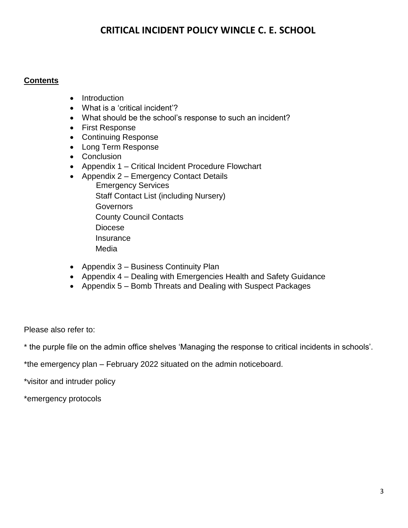#### **Contents**

- Introduction
- What is a 'critical incident'?
- What should be the school's response to such an incident?
- First Response
- Continuing Response
- Long Term Response
- Conclusion
- Appendix 1 Critical Incident Procedure Flowchart
- Appendix 2 Emergency Contact Details
	- Emergency Services Staff Contact List (including Nursery) **Governors**  County Council Contacts Diocese **Insurance** Media
- Appendix 3 Business Continuity Plan
- Appendix 4 Dealing with Emergencies Health and Safety Guidance
- Appendix 5 Bomb Threats and Dealing with Suspect Packages

Please also refer to:

\* the purple file on the admin office shelves 'Managing the response to critical incidents in schools'.

\*the emergency plan – February 2022 situated on the admin noticeboard.

\*visitor and intruder policy

\*emergency protocols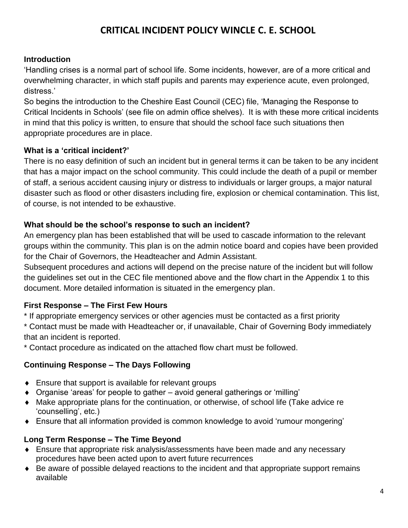#### **Introduction**

'Handling crises is a normal part of school life. Some incidents, however, are of a more critical and overwhelming character, in which staff pupils and parents may experience acute, even prolonged, distress.'

So begins the introduction to the Cheshire East Council (CEC) file, 'Managing the Response to Critical Incidents in Schools' (see file on admin office shelves). It is with these more critical incidents in mind that this policy is written, to ensure that should the school face such situations then appropriate procedures are in place.

#### **What is a 'critical incident?'**

There is no easy definition of such an incident but in general terms it can be taken to be any incident that has a major impact on the school community. This could include the death of a pupil or member of staff, a serious accident causing injury or distress to individuals or larger groups, a major natural disaster such as flood or other disasters including fire, explosion or chemical contamination. This list, of course, is not intended to be exhaustive.

#### **What should be the school's response to such an incident?**

An emergency plan has been established that will be used to cascade information to the relevant groups within the community. This plan is on the admin notice board and copies have been provided for the Chair of Governors, the Headteacher and Admin Assistant.

Subsequent procedures and actions will depend on the precise nature of the incident but will follow the guidelines set out in the CEC file mentioned above and the flow chart in the Appendix 1 to this document. More detailed information is situated in the emergency plan.

#### **First Response – The First Few Hours**

\* If appropriate emergency services or other agencies must be contacted as a first priority

\* Contact must be made with Headteacher or, if unavailable, Chair of Governing Body immediately that an incident is reported.

\* Contact procedure as indicated on the attached flow chart must be followed.

#### **Continuing Response – The Days Following**

- ◆ Ensure that support is available for relevant groups
- Organise 'areas' for people to gather avoid general gatherings or 'milling'
- Make appropriate plans for the continuation, or otherwise, of school life (Take advice re 'counselling', etc.)
- Ensure that all information provided is common knowledge to avoid 'rumour mongering'

#### **Long Term Response – The Time Beyond**

- Ensure that appropriate risk analysis/assessments have been made and any necessary procedures have been acted upon to avert future recurrences
- Be aware of possible delayed reactions to the incident and that appropriate support remains available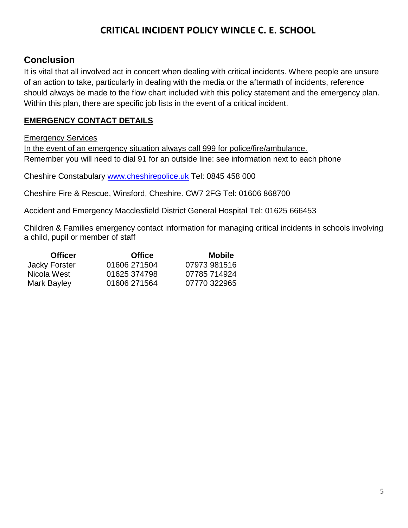## **Conclusion**

It is vital that all involved act in concert when dealing with critical incidents. Where people are unsure of an action to take, particularly in dealing with the media or the aftermath of incidents, reference should always be made to the flow chart included with this policy statement and the emergency plan. Within this plan, there are specific job lists in the event of a critical incident.

#### **EMERGENCY CONTACT DETAILS**

#### Emergency Services

In the event of an emergency situation always call 999 for police/fire/ambulance. Remember you will need to dial 91 for an outside line: see information next to each phone

Cheshire Constabulary [www.cheshirepolice.uk](http://www.cheshirepolice.uk/) Tel: 0845 458 000

Cheshire Fire & Rescue, Winsford, Cheshire. CW7 2FG Tel: 01606 868700

Accident and Emergency Macclesfield District General Hospital Tel: 01625 666453

Children & Families emergency contact information for managing critical incidents in schools involving a child, pupil or member of staff

| <b>Officer</b> | <b>Office</b> | <b>Mobile</b> |
|----------------|---------------|---------------|
| Jacky Forster  | 01606 271504  | 07973 981516  |
| Nicola West    | 01625 374798  | 07785 714924  |
| Mark Bayley    | 01606 271564  | 07770 322965  |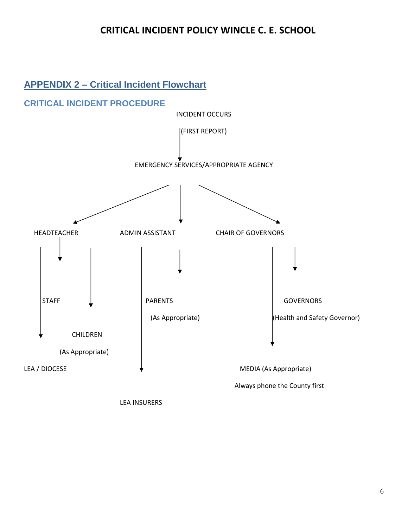## **APPENDIX 2 – Critical Incident Flowchart**



LEA INSURERS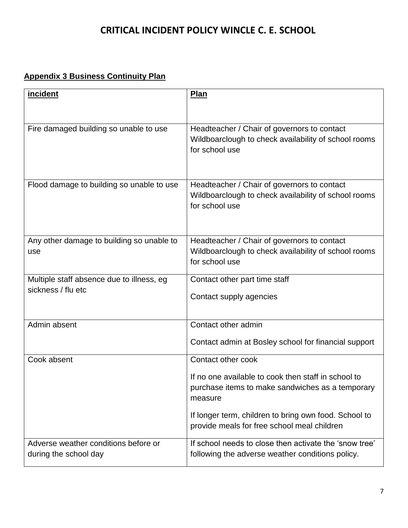## **Appendix 3 Business Continuity Plan**

| <i>incident</i>                                                 | <b>Plan</b>                                                                                                           |
|-----------------------------------------------------------------|-----------------------------------------------------------------------------------------------------------------------|
|                                                                 |                                                                                                                       |
| Fire damaged building so unable to use                          | Headteacher / Chair of governors to contact<br>Wildboarclough to check availability of school rooms<br>for school use |
| Flood damage to building so unable to use                       | Headteacher / Chair of governors to contact<br>Wildboarclough to check availability of school rooms<br>for school use |
| Any other damage to building so unable to<br>use                | Headteacher / Chair of governors to contact<br>Wildboarclough to check availability of school rooms<br>for school use |
| Multiple staff absence due to illness, eg<br>sickness / flu etc | Contact other part time staff<br>Contact supply agencies                                                              |
| Admin absent                                                    | Contact other admin                                                                                                   |
|                                                                 | Contact admin at Bosley school for financial support                                                                  |
| Cook absent                                                     | Contact other cook                                                                                                    |
|                                                                 | If no one available to cook then staff in school to<br>purchase items to make sandwiches as a temporary<br>measure    |
|                                                                 | If longer term, children to bring own food. School to<br>provide meals for free school meal children                  |
| Adverse weather conditions before or<br>during the school day   | If school needs to close then activate the 'snow tree'<br>following the adverse weather conditions policy.            |